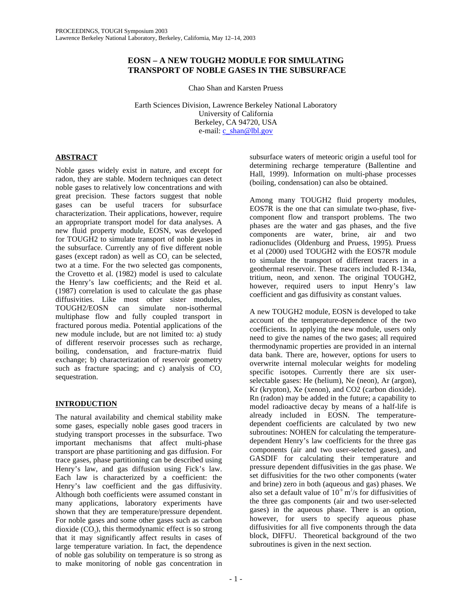# **EOSN – A NEW TOUGH2 MODULE FOR SIMULATING TRANSPORT OF NOBLE GASES IN THE SUBSURFACE**

Chao Shan and Karsten Pruess

Earth Sciences Division, Lawrence Berkeley National Laboratory University of California Berkeley, CA 94720, USA e-mail: c\_shan@lbl.gov

# **ABSTRACT**

Noble gases widely exist in nature, and except for radon, they are stable. Modern techniques can detect noble gases to relatively low concentrations and with great precision. These factors suggest that noble gases can be useful tracers for subsurface characterization. Their applications, however, require an appropriate transport model for data analyses. A new fluid property module, EOSN, was developed for TOUGH2 to simulate transport of noble gases in the subsurface. Currently any of five different noble gases (except radon) as well as  $CO$ , can be selected, two at a time. For the two selected gas components, the Crovetto et al. (1982) model is used to calculate the Henry's law coefficients; and the Reid et al. (1987) correlation is used to calculate the gas phase diffusivities. Like most other sister modules, TOUGH2/EOSN can simulate non-isothermal multiphase flow and fully coupled transport in fractured porous media. Potential applications of the new module include, but are not limited to: a) study of different reservoir processes such as recharge, boiling, condensation, and fracture-matrix fluid exchange; b) characterization of reservoir geometry such as fracture spacing; and c) analysis of  $CO<sub>2</sub>$ sequestration.

# **INTRODUCTION**

The natural availability and chemical stability make some gases, especially noble gases good tracers in studying transport processes in the subsurface. Two important mechanisms that affect multi-phase transport are phase partitioning and gas diffusion. For trace gases, phase partitioning can be described using Henry's law, and gas diffusion using Fick's law. Each law is characterized by a coefficient: the Henry's law coefficient and the gas diffusivity. Although both coefficients were assumed constant in many applications, laboratory experiments have shown that they are temperature/pressure dependent. For noble gases and some other gases such as carbon dioxide  $(CO<sub>2</sub>)$ , this thermodynamic effect is so strong that it may significantly affect results in cases of large temperature variation. In fact, the dependence of noble gas solubility on temperature is so strong as to make monitoring of noble gas concentration in

subsurface waters of meteoric origin a useful tool for determining recharge temperature (Ballentine and Hall, 1999). Information on multi-phase processes (boiling, condensation) can also be obtained.

Among many TOUGH2 fluid property modules, EOS7R is the one that can simulate two-phase, fivecomponent flow and transport problems. The two phases are the water and gas phases, and the five components are water, brine, air and two radionuclides (Oldenburg and Pruess, 1995). Pruess et al (2000) used TOUGH2 with the EOS7R module to simulate the transport of different tracers in a geothermal reservoir. These tracers included R-134a, tritium, neon, and xenon. The original TOUGH2, however, required users to input Henry's law coefficient and gas diffusivity as constant values.

A new TOUGH2 module, EOSN is developed to take account of the temperature-dependence of the two coefficients. In applying the new module, users only need to give the names of the two gases; all required thermodynamic properties are provided in an internal data bank. There are, however, options for users to overwrite internal molecular weights for modeling specific isotopes. Currently there are six userselectable gases: He (helium), Ne (neon), Ar (argon), Kr (krypton), Xe (xenon), and CO2 (carbon dioxide). Rn (radon) may be added in the future; a capability to model radioactive decay by means of a half-life is already included in EOSN. The temperaturedependent coefficients are calculated by two new subroutines: NOHEN for calculating the temperaturedependent Henry's law coefficients for the three gas components (air and two user-selected gases), and GASDIF for calculating their temperature and pressure dependent diffusivities in the gas phase. We set diffusivities for the two other components (water and brine) zero in both (aqueous and gas) phases. We also set a default value of  $10^{\degree}$  m<sup>2</sup>/s for diffusivities of the three gas components (air and two user-selected gases) in the aqueous phase. There is an option, however, for users to specify aqueous phase diffusivities for all five components through the data block, DIFFU. Theoretical background of the two subroutines is given in the next section.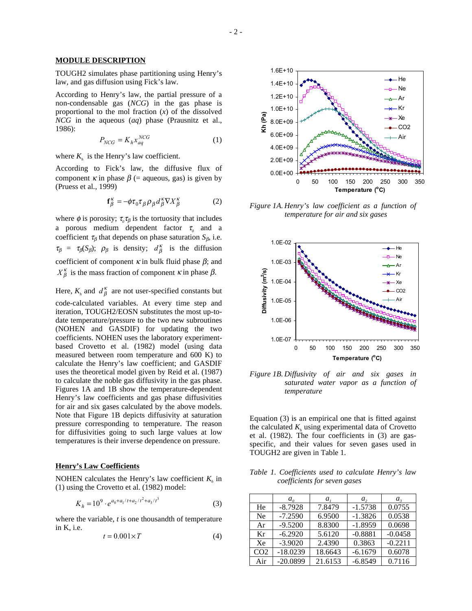### **MODULE DESCRIPTION**

TOUGH2 simulates phase partitioning using Henry's law, and gas diffusion using Fick's law.

According to Henry's law, the partial pressure of a non-condensable gas (*NCG*) in the gas phase is proportional to the mol fraction (*x*) of the dissolved *NCG* in the aqueous (*aq*) phase (Prausnitz et al., 1986):

$$
P_{NCG} = K_h x_{aq}^{NCG} \tag{1}
$$

where  $K<sub>i</sub>$  is the Henry's law coefficient.

According to Fick's law, the diffusive flux of component  $\kappa$  in phase  $\beta$  (= aqueous, gas) is given by (Pruess et al., 1999)

$$
\mathbf{f}_{\beta}^{\kappa} = -\phi \tau_0 \tau_{\beta} \rho_{\beta} d_{\beta}^{\kappa} \nabla X_{\beta}^{\kappa} \tag{2}
$$

where  $\phi$  is porosity;  $\tau_a \tau_\beta$  is the tortuosity that includes a porous medium dependent factor  $\tau$ <sub>*n*</sub> and a coefficient  $\tau_\beta$  that depends on phase saturation  $S_\beta$ , i.e.  $\tau_{\beta} = \tau_{\beta}(S_{\beta}); \rho_{\beta}$  is density;  $d_{\beta}^{k}$  is the diffusion coefficient of component  $\kappa$  in bulk fluid phase  $\beta$ ; and  $X_{\beta}^{\kappa}$  is the mass fraction of component  $\kappa$  in phase  $\beta$ .

Here,  $K_h$  and  $d_f^K$  are not user-specified constants but code-calculated variables. At every time step and iteration, TOUGH2/EOSN substitutes the most up-todate temperature/pressure to the two new subroutines (NOHEN and GASDIF) for updating the two coefficients. NOHEN uses the laboratory experimentbased Crovetto et al. (1982) model (using data measured between room temperature and 600 K) to calculate the Henry's law coefficient; and GASDIF uses the theoretical model given by Reid et al. (1987) to calculate the noble gas diffusivity in the gas phase. Figures 1A and 1B show the temperature-dependent Henry's law coefficients and gas phase diffusivities for air and six gases calculated by the above models. Note that Figure 1B depicts diffusivity at saturation pressure corresponding to temperature. The reason for diffusivities going to such large values at low temperatures is their inverse dependence on pressure.

#### **Henry's Law Coefficients**

NOHEN calculates the Henry's law coefficient  $K_{\mu}$  in (1) using the Crovetto et al. (1982) model:

$$
K_h = 10^9 \cdot e^{a_0 + a_1/t + a_2/t^2 + a_3/t^3} \tag{3}
$$

where the variable, *t* is one thousandth of temperature in K, i.e.

$$
t = 0.001 \times T \tag{4}
$$



*Figure 1A. Henry's law coefficient as a function of temperature for air and six gases* 



*Figure 1B. Diffusivity of air and six gases in saturated water vapor as a function of temperature* 

Equation (3) is an empirical one that is fitted against the calculated  $K<sub>i</sub>$  using experimental data of Crovetto et al. (1982). The four coefficients in (3) are gasspecific, and their values for seven gases used in TOUGH2 are given in Table 1.

*Table 1. Coefficients used to calculate Henry's law coefficients for seven gases* 

|                 | $a_{\alpha}$ | a       | а,        | $a_{\rm z}$ |
|-----------------|--------------|---------|-----------|-------------|
| He              | $-8.7928$    | 7.8479  | $-1.5738$ | 0.0755      |
| Ne              | $-7.2590$    | 6.9500  | $-1.3826$ | 0.0538      |
| Ar              | $-9.5200$    | 8.8300  | $-1.8959$ | 0.0698      |
| Kr              | $-6.2920$    | 5.6120  | $-0.8881$ | $-0.0458$   |
| Xe              | $-3.9020$    | 2.4390  | 0.3863    | $-0.2211$   |
| CO <sub>2</sub> | $-18.0239$   | 18.6643 | $-6.1679$ | 0.6078      |
| Air             | $-20.0899$   | 21.6153 | $-6.8549$ | 0.7116      |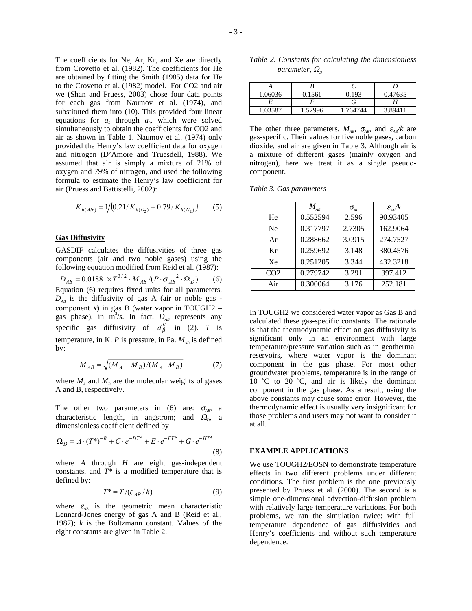The coefficients for Ne, Ar, Kr, and Xe are directly from Crovetto et al. (1982). The coefficients for He are obtained by fitting the Smith (1985) data for He to the Crovetto et al. (1982) model. For CO2 and air we (Shan and Pruess, 2003) chose four data points for each gas from Naumov et al. (1974), and substituted them into (10). This provided four linear equations for  $a<sub>o</sub>$  through  $a<sub>o</sub>$ , which were solved simultaneously to obtain the coefficients for CO2 and air as shown in Table 1. Naumov et al. (1974) only provided the Henry's law coefficient data for oxygen and nitrogen (D'Amore and Truesdell, 1988). We assumed that air is simply a mixture of 21% of oxygen and 79% of nitrogen, and used the following formula to estimate the Henry's law coefficient for air (Pruess and Battistelli, 2002):

$$
K_{h(Air)} = 1/(0.21/K_{h(O_2)} + 0.79/K_{h(N_2)})
$$
 (5)

## **Gas Diffusivity**

GASDIF calculates the diffusivities of three gas components (air and two noble gases) using the following equation modified from Reid et al. (1987):  $D_{AB} = 0.01881 \times T^{3/2} \cdot M_{AB} / (P \cdot {\sigma_{AB}}^2 \cdot \Omega_D)$  (6) Equation (6) requires fixed units for all parameters.  $D_{AB}$  is the diffusivity of gas A (air or noble gas component  $\kappa$ ) in gas B (water vapor in TOUGH2 – gas phase), in  $m^2/s$ . In fact,  $D_{AB}$  represents any specific gas diffusivity of  $d_{\beta}^{\kappa}$  in (2). *T* is temperature, in K. *P* is pressure, in Pa.  $M_{AB}$  is defined by:

$$
M_{AB} = \sqrt{(M_A + M_B)/(M_A \cdot M_B)}\tag{7}
$$

where  $M_A$  and  $M_B$  are the molecular weights of gases A and B, respectively.

The other two parameters in (6) are:  $\sigma_{AB}$ , a characteristic length, in angstrom; and  $\Omega_{p}$  a dimensionless coefficient defined by

$$
\Omega_D = A \cdot (T^*)^{-B} + C \cdot e^{-DT^*} + E \cdot e^{-FT^*} + G \cdot e^{-HT^*}
$$
\n(8)

where *A* through *H* are eight gas-independent constants, and *T\** is a modified temperature that is defined by:

$$
T^* = T / (\varepsilon_{AB} / k) \tag{9}
$$

where  $\varepsilon_{AB}$  is the geometric mean characteristic Lennard-Jones energy of gas A and B (Reid et al., 1987); *k* is the Boltzmann constant. Values of the eight constants are given in Table 2.

| 1.06036 | 0.1561  | 0.193    | 0.47635 |
|---------|---------|----------|---------|
|         |         |          |         |
| 1.03587 | 1.52996 | 1.764744 | 3.89411 |

The other three parameters,  $M_{AB}$ ,  $\sigma_{AB}$ , and  $\varepsilon_{AB}/k$  are gas-specific. Their values for five noble gases, carbon dioxide, and air are given in Table 3. Although air is a mixture of different gases (mainly oxygen and nitrogen), here we treat it as a single pseudocomponent.

| Table 3. Gas parameters |  |
|-------------------------|--|
|-------------------------|--|

|                 | $M_{_{AB}}$ | $\sigma_{\!{}_{AB}}$ | $\varepsilon_{\rm AF}^2/k$ |
|-----------------|-------------|----------------------|----------------------------|
| He              | 0.552594    | 2.596                | 90.93405                   |
| Ne              | 0.317797    | 2.7305               | 162.9064                   |
| Ar              | 0.288662    | 3.0915               | 274.7527                   |
| Kr              | 0.259692    | 3.148                | 380.4576                   |
| Xe              | 0.251205    | 3.344                | 432.3218                   |
| CO <sub>2</sub> | 0.279742    | 3.291                | 397.412                    |
| Air             | 0.300064    | 3.176                | 252.181                    |

In TOUGH2 we considered water vapor as Gas B and calculated these gas-specific constants. The rationale is that the thermodynamic effect on gas diffusivity is significant only in an environment with large temperature/pressure variation such as in geothermal reservoirs, where water vapor is the dominant component in the gas phase. For most other groundwater problems, temperature is in the range of 10  $^{\circ}$ C to 20  $^{\circ}$ C, and air is likely the dominant component in the gas phase. As a result, using the above constants may cause some error. However, the thermodynamic effect is usually very insignificant for those problems and users may not want to consider it at all.

### **EXAMPLE APPLICATIONS**

We use TOUGH2/EOSN to demonstrate temperature effects in two different problems under different conditions. The first problem is the one previously presented by Pruess et al. (2000). The second is a simple one-dimensional advection-diffusion problem with relatively large temperature variations. For both problems, we ran the simulation twice: with full temperature dependence of gas diffusivities and Henry's coefficients and without such temperature dependence.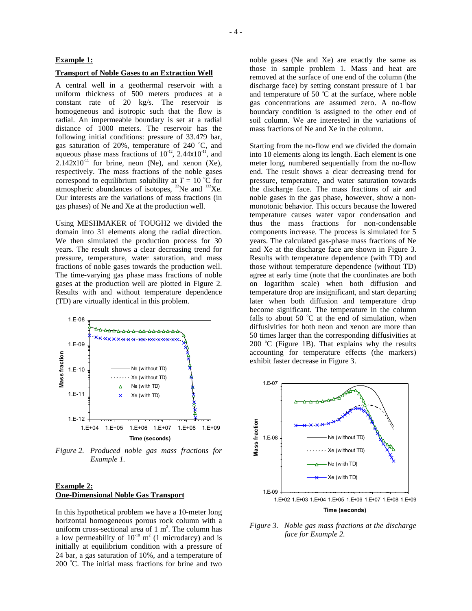## **Example 1:**

#### **Transport of Noble Gases to an Extraction Well**

A central well in a geothermal reservoir with a uniform thickness of 500 meters produces at a constant rate of 20 kg/s. The reservoir is homogeneous and isotropic such that the flow is radial. An impermeable boundary is set at a radial distance of 1000 meters. The reservoir has the following initial conditions: pressure of 33.479 bar, gas saturation of 20%, temperature of 240 °C, and aqueous phase mass fractions of  $10^{-12}$ , 2.44x10<sup>-11</sup>, and  $2.142x10<sup>-11</sup>$  for brine, neon (Ne), and xenon (Xe), respectively. The mass fractions of the noble gases correspond to equilibrium solubility at  $T = 10$  °C for atmospheric abundances of isotopes,  $^{22}$ Ne and  $^{132}$ Xe. Our interests are the variations of mass fractions (in gas phases) of Ne and Xe at the production well.

Using MESHMAKER of TOUGH2 we divided the domain into 31 elements along the radial direction. We then simulated the production process for 30 years. The result shows a clear decreasing trend for pressure, temperature, water saturation, and mass fractions of noble gases towards the production well. The time-varying gas phase mass fractions of noble gases at the production well are plotted in Figure 2. Results with and without temperature dependence (TD) are virtually identical in this problem.



*Figure 2. Produced noble gas mass fractions for Example 1.* 

## **Example 2: One-Dimensional Noble Gas Transport**

In this hypothetical problem we have a 10-meter long horizontal homogeneous porous rock column with a uniform cross-sectional area of  $1 \text{ m}^2$ . The column has a low permeability of  $10^{-18}$  m<sup>2</sup> (1 microdarcy) and is initially at equilibrium condition with a pressure of 24 bar, a gas saturation of 10%, and a temperature of 200 °C. The initial mass fractions for brine and two noble gases (Ne and Xe) are exactly the same as those in sample problem 1. Mass and heat are removed at the surface of one end of the column (the discharge face) by setting constant pressure of 1 bar and temperature of 50  $^{\circ}$ C at the surface, where noble gas concentrations are assumed zero. A no-flow boundary condition is assigned to the other end of soil column. We are interested in the variations of mass fractions of Ne and Xe in the column.

Starting from the no-flow end we divided the domain into 10 elements along its length. Each element is one meter long, numbered sequentially from the no-flow end. The result shows a clear decreasing trend for pressure, temperature, and water saturation towards the discharge face. The mass fractions of air and noble gases in the gas phase, however, show a nonmonotonic behavior. This occurs because the lowered temperature causes water vapor condensation and thus the mass fractions for non-condensable components increase. The process is simulated for 5 years. The calculated gas-phase mass fractions of Ne and Xe at the discharge face are shown in Figure 3. Results with temperature dependence (with TD) and those without temperature dependence (without TD) agree at early time (note that the coordinates are both on logarithm scale) when both diffusion and temperature drop are insignificant, and start departing later when both diffusion and temperature drop become significant. The temperature in the column falls to about 50  $^{\circ}$ C at the end of simulation, when diffusivities for both neon and xenon are more than 50 times larger than the corresponding diffusivities at  $200$  °C (Figure 1B). That explains why the results accounting for temperature effects (the markers) exhibit faster decrease in Figure 3.



*Figure 3. Noble gas mass fractions at the discharge face for Example 2.*